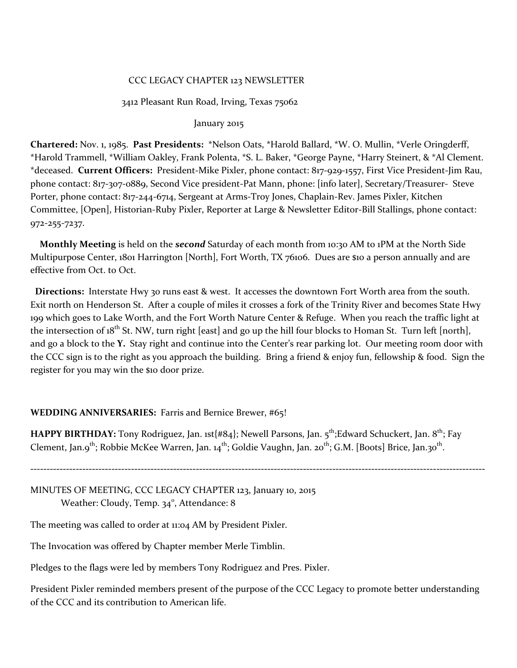### CCC LEGACY CHAPTER 123 NEWSLETTER

### 3412 Pleasant Run Road, Irving, Texas 75062

### January 2015

**Chartered:** Nov. 1, 1985. **Past Presidents:** \*Nelson Oats, \*Harold Ballard, \*W. O. Mullin, \*Verle Oringderff, \*Harold Trammell, \*William Oakley, Frank Polenta, \*S. L. Baker, \*George Payne, \*Harry Steinert, & \*Al Clement. \*deceased. **Current Officers:** President-Mike Pixler, phone contact: 817-929-1557, First Vice President-Jim Rau, phone contact: 817-3o7-0889, Second Vice president-Pat Mann, phone: [info later], Secretary/Treasurer- Steve Porter, phone contact: 817-244-6714, Sergeant at Arms-Troy Jones, Chaplain-Rev. James Pixler, Kitchen Committee, [Open], Historian-Ruby Pixler, Reporter at Large & Newsletter Editor-Bill Stallings, phone contact: 972-255-7237.

 **Monthly Meeting** is held on the *second* Saturday of each month from 10:30 AM to 1PM at the North Side Multipurpose Center, 1801 Harrington [North], Fort Worth, TX 76106. Dues are \$10 a person annually and are effective from Oct. to Oct.

 **Directions:** Interstate Hwy 30 runs east & west. It accesses the downtown Fort Worth area from the south. Exit north on Henderson St. After a couple of miles it crosses a fork of the Trinity River and becomes State Hwy 199 which goes to Lake Worth, and the Fort Worth Nature Center & Refuge. When you reach the traffic light at the intersection of  $18^{th}$  St. NW, turn right [east] and go up the hill four blocks to Homan St. Turn left [north], and go a block to the **Y.** Stay right and continue into the Center's rear parking lot. Our meeting room door with the CCC sign is to the right as you approach the building. Bring a friend & enjoy fun, fellowship & food. Sign the register for you may win the \$10 door prize.

#### **WEDDING ANNIVERSARIES:** Farris and Bernice Brewer, #65!

**HAPPY BIRTHDAY:** Tony Rodriguez, Jan. 1st{#84}; Newell Parsons, Jan. 5<sup>th</sup>; Edward Schuckert, Jan. 8<sup>th</sup>; Fay Clement, Jan.9<sup>th</sup>; Robbie McKee Warren, Jan. 14<sup>th</sup>; Goldie Vaughn, Jan. 20<sup>th</sup>; G.M. [Boots] Brice, Jan.30<sup>th</sup>.

**--------------------------------------------------------------------------------------------------------------------------------------------**

MINUTES OF MEETING, CCC LEGACY CHAPTER 123, January 10, 2015 Weather: Cloudy, Temp. 34°, Attendance: 8

The meeting was called to order at 11:04 AM by President Pixler.

The Invocation was offered by Chapter member Merle Timblin.

Pledges to the flags were led by members Tony Rodriguez and Pres. Pixler.

President Pixler reminded members present of the purpose of the CCC Legacy to promote better understanding of the CCC and its contribution to American life.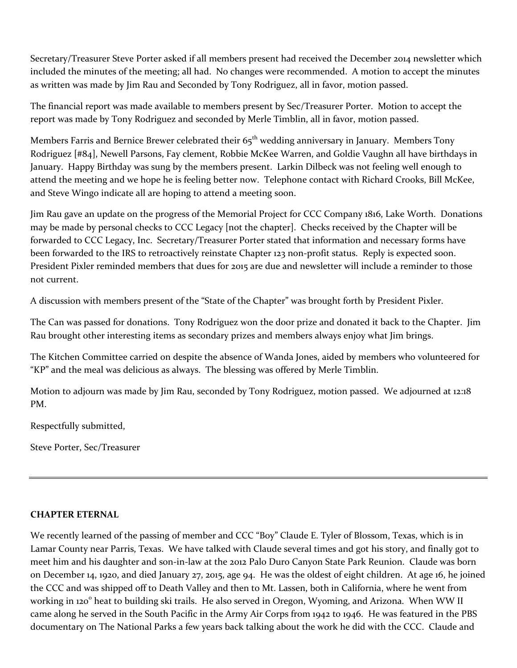Secretary/Treasurer Steve Porter asked if all members present had received the December 2014 newsletter which included the minutes of the meeting; all had. No changes were recommended. A motion to accept the minutes as written was made by Jim Rau and Seconded by Tony Rodriguez, all in favor, motion passed.

The financial report was made available to members present by Sec/Treasurer Porter. Motion to accept the report was made by Tony Rodriguez and seconded by Merle Timblin, all in favor, motion passed.

Members Farris and Bernice Brewer celebrated their  $65<sup>th</sup>$  wedding anniversary in January. Members Tony Rodriguez [#84], Newell Parsons, Fay clement, Robbie McKee Warren, and Goldie Vaughn all have birthdays in January. Happy Birthday was sung by the members present. Larkin Dilbeck was not feeling well enough to attend the meeting and we hope he is feeling better now. Telephone contact with Richard Crooks, Bill McKee, and Steve Wingo indicate all are hoping to attend a meeting soon.

Jim Rau gave an update on the progress of the Memorial Project for CCC Company 1816, Lake Worth. Donations may be made by personal checks to CCC Legacy [not the chapter]. Checks received by the Chapter will be forwarded to CCC Legacy, Inc. Secretary/Treasurer Porter stated that information and necessary forms have been forwarded to the IRS to retroactively reinstate Chapter 123 non-profit status. Reply is expected soon. President Pixler reminded members that dues for 2015 are due and newsletter will include a reminder to those not current.

A discussion with members present of the "State of the Chapter" was brought forth by President Pixler.

The Can was passed for donations. Tony Rodriguez won the door prize and donated it back to the Chapter. Jim Rau brought other interesting items as secondary prizes and members always enjoy what Jim brings.

The Kitchen Committee carried on despite the absence of Wanda Jones, aided by members who volunteered for "KP" and the meal was delicious as always. The blessing was offered by Merle Timblin.

Motion to adjourn was made by Jim Rau, seconded by Tony Rodriguez, motion passed. We adjourned at 12:18 PM.

Respectfully submitted,

Steve Porter, Sec/Treasurer

## **CHAPTER ETERNAL**

We recently learned of the passing of member and CCC "Boy" Claude E. Tyler of Blossom, Texas, which is in Lamar County near Parris, Texas. We have talked with Claude several times and got his story, and finally got to meet him and his daughter and son-in-law at the 2012 Palo Duro Canyon State Park Reunion. Claude was born on December 14, 1920, and died January 27, 2015, age 94. He was the oldest of eight children. At age 16, he joined the CCC and was shipped off to Death Valley and then to Mt. Lassen, both in California, where he went from working in 120° heat to building ski trails. He also served in Oregon, Wyoming, and Arizona. When WW II came along he served in the South Pacific in the Army Air Corps from 1942 to 1946. He was featured in the PBS documentary on The National Parks a few years back talking about the work he did with the CCC. Claude and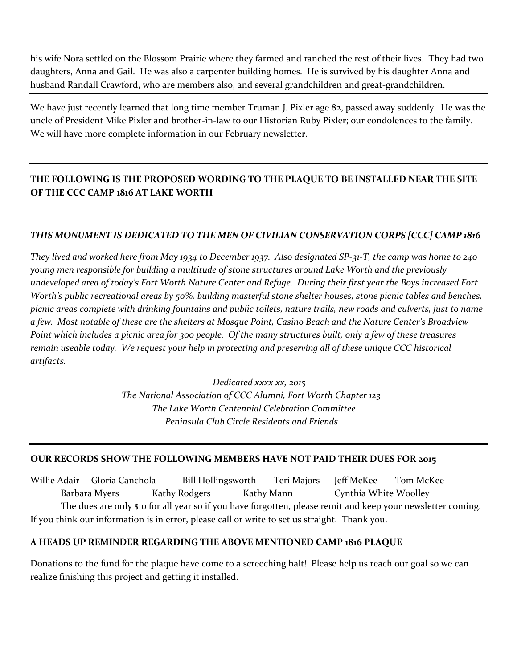his wife Nora settled on the Blossom Prairie where they farmed and ranched the rest of their lives. They had two daughters, Anna and Gail. He was also a carpenter building homes. He is survived by his daughter Anna and husband Randall Crawford, who are members also, and several grandchildren and great-grandchildren.

We have just recently learned that long time member Truman J. Pixler age 82, passed away suddenly. He was the uncle of President Mike Pixler and brother-in-law to our Historian Ruby Pixler; our condolences to the family. We will have more complete information in our February newsletter.

# **THE FOLLOWING IS THE PROPOSED WORDING TO THE PLAQUE TO BE INSTALLED NEAR THE SITE OF THE CCC CAMP 1816 AT LAKE WORTH**

# *THIS MONUMENT IS DEDICATED TO THE MEN OF CIVILIAN CONSERVATION CORPS [CCC] CAMP 1816*

*They lived and worked here from May 1934 to December 1937. Also designated SP-31-T, the camp was home to 240 young men responsible for building a multitude of stone structures around Lake Worth and the previously undeveloped area of today's Fort Worth Nature Center and Refuge. During their first year the Boys increased Fort Worth's public recreational areas by 50%, building masterful stone shelter houses, stone picnic tables and benches, picnic areas complete with drinking fountains and public toilets, nature trails, new roads and culverts, just to name a few. Most notable of these are the shelters at Mosque Point, Casino Beach and the Nature Center's Broadview Point which includes a picnic area for 300 people. Of the many structures built, only a few of these treasures remain useable today. We request your help in protecting and preserving all of these unique CCC historical artifacts.*

> *Dedicated xxxx xx, 2015 The National Association of CCC Alumni, Fort Worth Chapter 123 The Lake Worth Centennial Celebration Committee Peninsula Club Circle Residents and Friends*

## **OUR RECORDS SHOW THE FOLLOWING MEMBERS HAVE NOT PAID THEIR DUES FOR 2015**

Willie Adair Gloria Canchola Bill Hollingsworth Teri Majors Jeff McKee Tom McKee Barbara Myers Kathy Rodgers Kathy Mann Cynthia White Woolley The dues are only \$10 for all year so if you have forgotten, please remit and keep your newsletter coming. If you think our information is in error, please call or write to set us straight. Thank you.

## **A HEADS UP REMINDER REGARDING THE ABOVE MENTIONED CAMP 1816 PLAQUE**

Donations to the fund for the plaque have come to a screeching halt! Please help us reach our goal so we can realize finishing this project and getting it installed.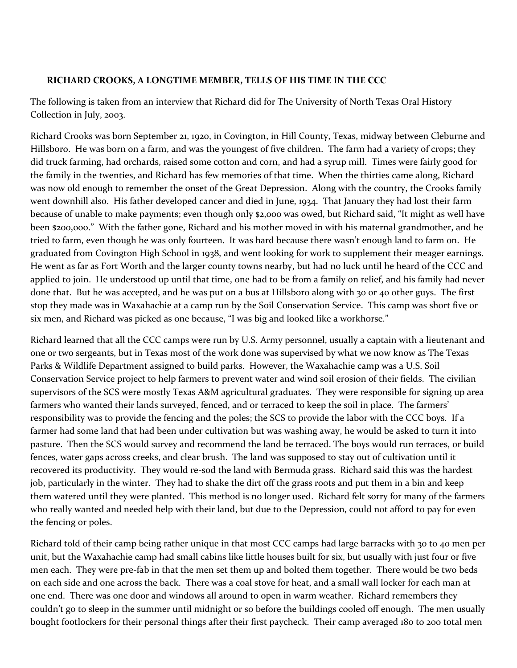## **RICHARD CROOKS, A LONGTIME MEMBER, TELLS OF HIS TIME IN THE CCC**

The following is taken from an interview that Richard did for The University of North Texas Oral History Collection in July, 2003.

Richard Crooks was born September 21, 1920, in Covington, in Hill County, Texas, midway between Cleburne and Hillsboro. He was born on a farm, and was the youngest of five children. The farm had a variety of crops; they did truck farming, had orchards, raised some cotton and corn, and had a syrup mill. Times were fairly good for the family in the twenties, and Richard has few memories of that time. When the thirties came along, Richard was now old enough to remember the onset of the Great Depression. Along with the country, the Crooks family went downhill also. His father developed cancer and died in June, 1934. That January they had lost their farm because of unable to make payments; even though only \$2,000 was owed, but Richard said, "It might as well have been \$200,000." With the father gone, Richard and his mother moved in with his maternal grandmother, and he tried to farm, even though he was only fourteen. It was hard because there wasn't enough land to farm on. He graduated from Covington High School in 1938, and went looking for work to supplement their meager earnings. He went as far as Fort Worth and the larger county towns nearby, but had no luck until he heard of the CCC and applied to join. He understood up until that time, one had to be from a family on relief, and his family had never done that. But he was accepted, and he was put on a bus at Hillsboro along with 30 or 40 other guys. The first stop they made was in Waxahachie at a camp run by the Soil Conservation Service. This camp was short five or six men, and Richard was picked as one because, "I was big and looked like a workhorse."

Richard learned that all the CCC camps were run by U.S. Army personnel, usually a captain with a lieutenant and one or two sergeants, but in Texas most of the work done was supervised by what we now know as The Texas Parks & Wildlife Department assigned to build parks. However, the Waxahachie camp was a U.S. Soil Conservation Service project to help farmers to prevent water and wind soil erosion of their fields. The civilian supervisors of the SCS were mostly Texas A&M agricultural graduates. They were responsible for signing up area farmers who wanted their lands surveyed, fenced, and or terraced to keep the soil in place. The farmers' responsibility was to provide the fencing and the poles; the SCS to provide the labor with the CCC boys. If a farmer had some land that had been under cultivation but was washing away, he would be asked to turn it into pasture. Then the SCS would survey and recommend the land be terraced. The boys would run terraces, or build fences, water gaps across creeks, and clear brush. The land was supposed to stay out of cultivation until it recovered its productivity. They would re-sod the land with Bermuda grass. Richard said this was the hardest job, particularly in the winter. They had to shake the dirt off the grass roots and put them in a bin and keep them watered until they were planted. This method is no longer used. Richard felt sorry for many of the farmers who really wanted and needed help with their land, but due to the Depression, could not afford to pay for even the fencing or poles.

Richard told of their camp being rather unique in that most CCC camps had large barracks with 30 to 40 men per unit, but the Waxahachie camp had small cabins like little houses built for six, but usually with just four or five men each. They were pre-fab in that the men set them up and bolted them together. There would be two beds on each side and one across the back. There was a coal stove for heat, and a small wall locker for each man at one end. There was one door and windows all around to open in warm weather. Richard remembers they couldn't go to sleep in the summer until midnight or so before the buildings cooled off enough. The men usually bought footlockers for their personal things after their first paycheck. Their camp averaged 180 to 200 total men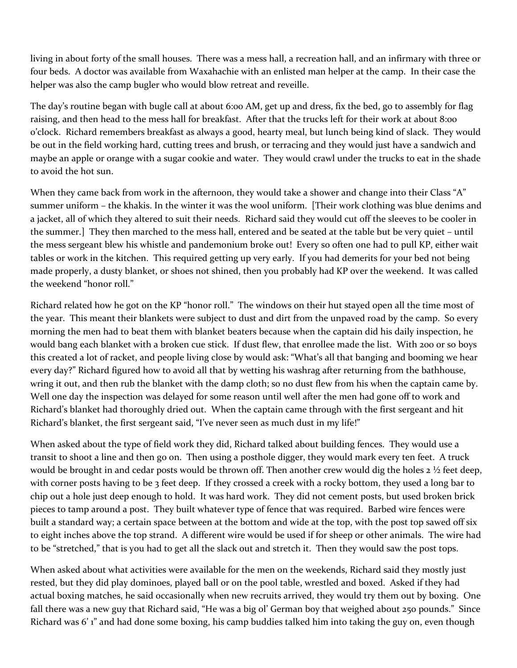living in about forty of the small houses. There was a mess hall, a recreation hall, and an infirmary with three or four beds. A doctor was available from Waxahachie with an enlisted man helper at the camp. In their case the helper was also the camp bugler who would blow retreat and reveille.

The day's routine began with bugle call at about 6:00 AM, get up and dress, fix the bed, go to assembly for flag raising, and then head to the mess hall for breakfast. After that the trucks left for their work at about 8:00 o'clock. Richard remembers breakfast as always a good, hearty meal, but lunch being kind of slack. They would be out in the field working hard, cutting trees and brush, or terracing and they would just have a sandwich and maybe an apple or orange with a sugar cookie and water. They would crawl under the trucks to eat in the shade to avoid the hot sun.

When they came back from work in the afternoon, they would take a shower and change into their Class "A" summer uniform – the khakis. In the winter it was the wool uniform. [Their work clothing was blue denims and a jacket, all of which they altered to suit their needs. Richard said they would cut off the sleeves to be cooler in the summer.] They then marched to the mess hall, entered and be seated at the table but be very quiet – until the mess sergeant blew his whistle and pandemonium broke out! Every so often one had to pull KP, either wait tables or work in the kitchen. This required getting up very early. If you had demerits for your bed not being made properly, a dusty blanket, or shoes not shined, then you probably had KP over the weekend. It was called the weekend "honor roll."

Richard related how he got on the KP "honor roll." The windows on their hut stayed open all the time most of the year. This meant their blankets were subject to dust and dirt from the unpaved road by the camp. So every morning the men had to beat them with blanket beaters because when the captain did his daily inspection, he would bang each blanket with a broken cue stick. If dust flew, that enrollee made the list. With 200 or so boys this created a lot of racket, and people living close by would ask: "What's all that banging and booming we hear every day?" Richard figured how to avoid all that by wetting his washrag after returning from the bathhouse, wring it out, and then rub the blanket with the damp cloth; so no dust flew from his when the captain came by. Well one day the inspection was delayed for some reason until well after the men had gone off to work and Richard's blanket had thoroughly dried out. When the captain came through with the first sergeant and hit Richard's blanket, the first sergeant said, "I've never seen as much dust in my life!"

When asked about the type of field work they did, Richard talked about building fences. They would use a transit to shoot a line and then go on. Then using a posthole digger, they would mark every ten feet. A truck would be brought in and cedar posts would be thrown off. Then another crew would dig the holes 2 ½ feet deep, with corner posts having to be 3 feet deep. If they crossed a creek with a rocky bottom, they used a long bar to chip out a hole just deep enough to hold. It was hard work. They did not cement posts, but used broken brick pieces to tamp around a post. They built whatever type of fence that was required. Barbed wire fences were built a standard way; a certain space between at the bottom and wide at the top, with the post top sawed off six to eight inches above the top strand. A different wire would be used if for sheep or other animals. The wire had to be "stretched," that is you had to get all the slack out and stretch it. Then they would saw the post tops.

When asked about what activities were available for the men on the weekends, Richard said they mostly just rested, but they did play dominoes, played ball or on the pool table, wrestled and boxed. Asked if they had actual boxing matches, he said occasionally when new recruits arrived, they would try them out by boxing. One fall there was a new guy that Richard said, "He was a big ol' German boy that weighed about 250 pounds." Since Richard was 6' 1" and had done some boxing, his camp buddies talked him into taking the guy on, even though